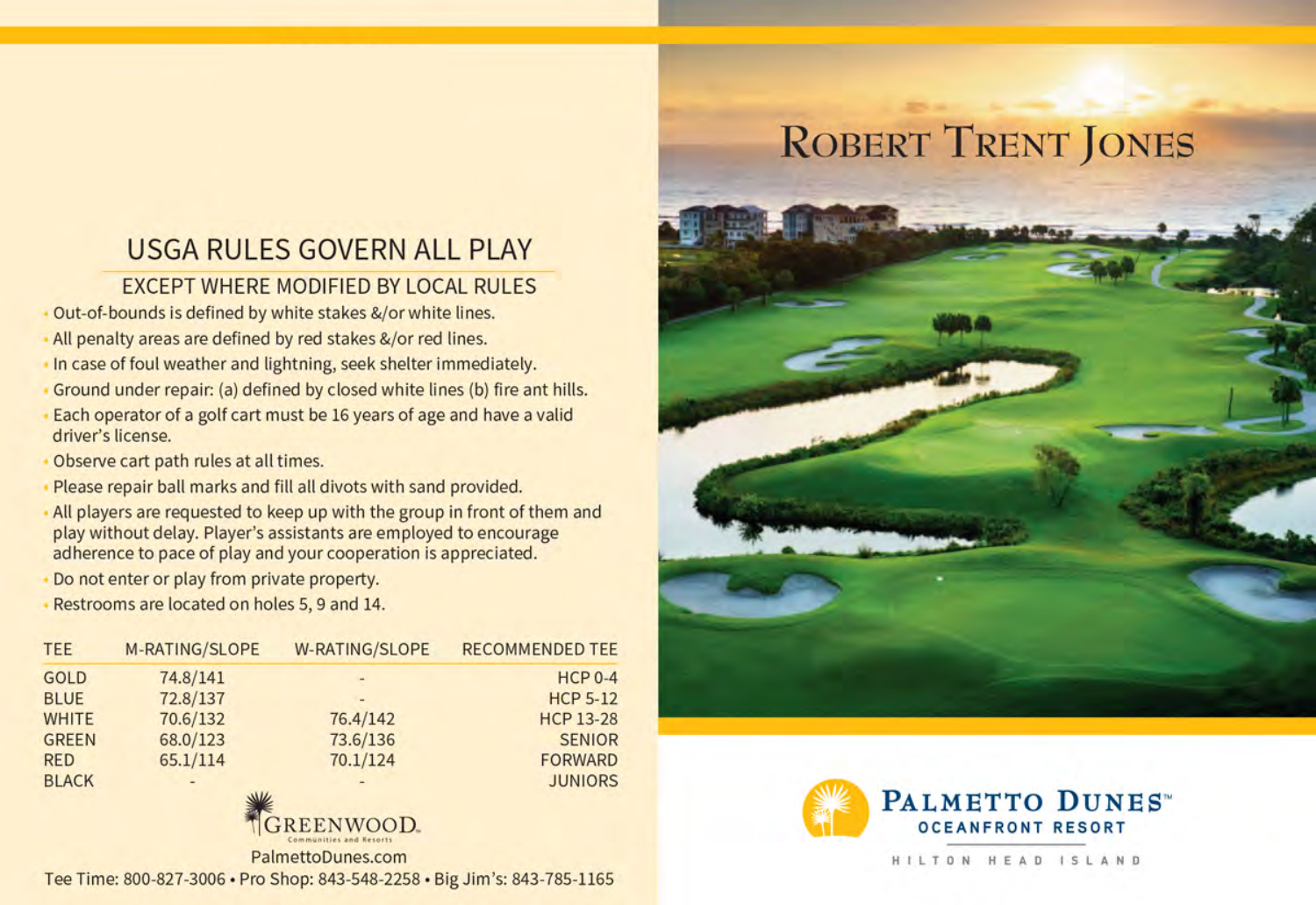## **USGA RULES GOVERN ALL PLAY**

## **EXCEPT WHERE MODIFIED BY LOCAL RULES**

- Out-of-bounds is defined by white stakes &/or white lines.
- All penalty areas are defined by red stakes &/or red lines.
- In case of foul weather and lightning, seek shelter immediately.
- Ground under repair: (a) defined by closed white lines (b) fire ant hills.
- Each operator of a golf cart must be 16 years of age and have a valid driver's license.
- Observe cart path rules at all times.
- Please repair ball marks and fill all divots with sand provided.
- All players are requested to keep up with the group in front of them and play without delay. Player's assistants are employed to encourage adherence to pace of play and your cooperation is appreciated.
- Do not enter or play from private property.
- Restrooms are located on holes 5, 9 and 14.

| <b>TEE</b>   | <b>M-RATING/SLOPE</b> | <b>W-RATING/SLOPE</b> | <b>RECOMMENDED TEE</b> |
|--------------|-----------------------|-----------------------|------------------------|
| <b>GOLD</b>  | 74.8/141              | -                     | $HCP 0-4$              |
| <b>BLUE</b>  | 72.8/137              | ۰                     | <b>HCP 5-12</b>        |
| <b>WHITE</b> | 70.6/132              | 76.4/142              | <b>HCP 13-28</b>       |
| <b>GREEN</b> | 68.0/123              | 73.6/136              | <b>SENIOR</b>          |
| <b>RED</b>   | 65.1/114              | 70.1/124              | <b>FORWARD</b>         |
| <b>BLACK</b> |                       | ۰                     | <b>JUNIORS</b>         |
|              | WK                    |                       |                        |



PalmettoDunes.com

Tee Time: 800-827-3006 · Pro Shop: 843-548-2258 · Big Jim's: 843-785-1165

## **ROBERT TRENT JONES**





HILTON HEAD ISLAND